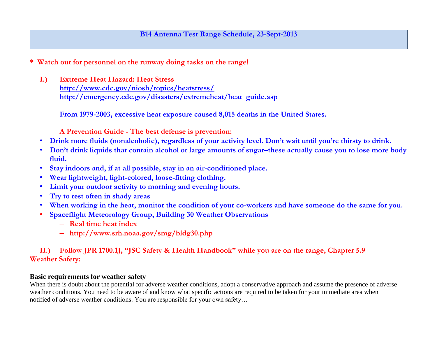### **B14 Antenna Test Range Schedule, 23-Sept-2013**

**\* Watch out for personnel on the runway doing tasks on the range!**

**I.) Extreme Heat Hazard: Heat Stress <http://www.cdc.gov/niosh/topics/heatstress/> [http://emergency.cdc.gov/disasters/extremeheat/heat\\_guide.asp](http://emergency.cdc.gov/disasters/extremeheat/heat_guide.asp)**

**From 1979-2003, excessive heat exposure caused 8,015 deaths in the United States.** 

**A Prevention Guide - The best defense is prevention:**

- **Drink more fluids (nonalcoholic), regardless of your activity level. Don't wait until you're thirsty to drink.**
- **Don't drink liquids that contain alcohol or large amounts of sugar–these actually cause you to lose more body fluid.**
- **Stay indoors and, if at all possible, stay in an air-conditioned place.**
- **Wear lightweight, light-colored, loose-fitting clothing.**
- **Limit your outdoor activity to morning and evening hours.**
- **Try to rest often in shady areas**
- **When working in the heat, monitor the condition of your co-workers and have someone do the same for you.**
- **[Spaceflight Meteorology Group, Building 30 Weather Observations](http://www.srh.noaa.gov/smg/bldg30.php)** 
	- **Real time heat index**
	- **http://www.srh.noaa.gov/smg/bldg30.php**

## **II.) Follow JPR 1700.1J, "JSC Safety & Health Handbook" while you are on the range, Chapter 5.9 Weather Safety:**

#### **Basic requirements for weather safety**

When there is doubt about the potential for adverse weather conditions, adopt a conservative approach and assume the presence of adverse weather conditions. You need to be aware of and know what specific actions are required to be taken for your immediate area when notified of adverse weather conditions. You are responsible for your own safety…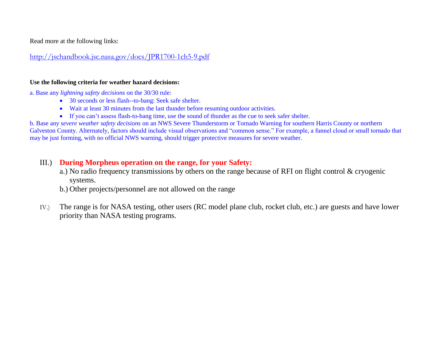Read more at the following links:

<http://jschandbook.jsc.nasa.gov/docs/JPR1700-1ch5-9.pdf>

#### **Use the following criteria for weather hazard decisions:**

a. Base any *lightning safety decisions* on the 30/30 rule:

- 30 seconds or less flash--to-bang: Seek safe shelter.
- Wait at least 30 minutes from the last thunder before resuming outdoor activities.
- If you can't assess flash-to-bang time, use the sound of thunder as the cue to seek safer shelter.

b. Base any *severe weather safety decisions* on an NWS Severe Thunderstorm or Tornado Warning for southern Harris County or northern Galveston County. Alternately, factors should include visual observations and "common sense." For example, a funnel cloud or small tornado that may be just forming, with no official NWS warning, should trigger protective measures for severe weather.

# III.) **During Morpheus operation on the range, for your Safety:**

- a.) No radio frequency transmissions by others on the range because of RFI on flight control & cryogenic systems.
- b.) Other projects/personnel are not allowed on the range
- IV.) The range is for NASA testing, other users (RC model plane club, rocket club, etc.) are guests and have lower priority than NASA testing programs.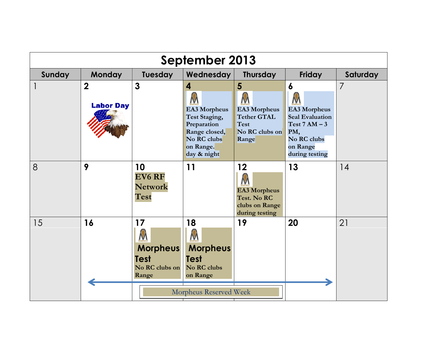| September 2013         |                                    |                                                                      |                                                                                                                                            |                                                                                     |                                                                                                                                              |          |
|------------------------|------------------------------------|----------------------------------------------------------------------|--------------------------------------------------------------------------------------------------------------------------------------------|-------------------------------------------------------------------------------------|----------------------------------------------------------------------------------------------------------------------------------------------|----------|
| Sunday                 | <b>Monday</b>                      | Tuesday                                                              | Wednesday                                                                                                                                  | <b>Thursday</b>                                                                     | <b>Friday</b>                                                                                                                                | Saturday |
|                        | $\overline{2}$<br><b>Labor Day</b> | 3                                                                    | $\overline{\mathbf{4}}$<br><b>EA3 Morpheus</b><br>Test Staging,<br>Preparation<br>Range closed,<br>No RC clubs<br>on Range.<br>day & night | 5<br><b>EA3 Morpheus</b><br><b>Tether GTAL</b><br>Test<br>No RC clubs on<br>Range   | $\boldsymbol{6}$<br>N<br><b>EA3 Morpheus</b><br><b>Seal Evaluation</b><br>Test $7AM - 3$<br>PM,<br>No RC clubs<br>on Range<br>during testing |          |
| 8                      | 9                                  | 10<br><b>EV6 RF</b><br><b>Network</b><br>Test                        | 11                                                                                                                                         | 12<br><b>EA3 Morpheus</b><br><b>Test. No RC</b><br>clubs on Range<br>during testing | 13                                                                                                                                           | 14       |
| 15                     | 16                                 | 17<br>M<br><b>Morpheus</b><br><b>Test</b><br>No RC clubs on<br>Range | 18<br><b>Morpheus</b><br><b>Test</b><br>No RC clubs<br>on Range                                                                            | 19                                                                                  | 20                                                                                                                                           | 21       |
| Morpheus Reserved Week |                                    |                                                                      |                                                                                                                                            |                                                                                     |                                                                                                                                              |          |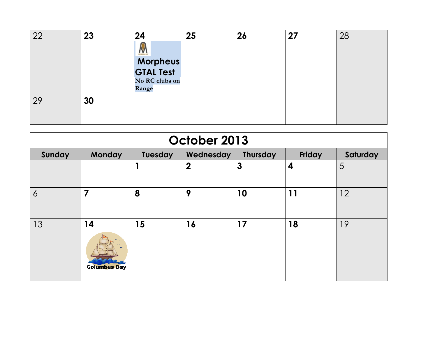| 22 | 23 | 24<br>Morpheus<br>No RC clubs on<br>Range | 25 | 26 | 27 | 28 |
|----|----|-------------------------------------------|----|----|----|----|
| 29 | 30 |                                           |    |    |    |    |

| October 2013   |                                                                  |    |                  |              |    |    |  |  |
|----------------|------------------------------------------------------------------|----|------------------|--------------|----|----|--|--|
| Sunday         | Monday<br>Friday<br>Saturday<br>Tuesday<br>Wednesday<br>Thursday |    |                  |              |    |    |  |  |
|                |                                                                  | 1  | $\boldsymbol{2}$ | $\mathbf{3}$ | 4  | 5  |  |  |
| $\overline{6}$ | $\overline{7}$                                                   | 8  | 9                | 10           | 11 | 12 |  |  |
| 13             | 14<br><b>Columbus Day</b>                                        | 15 | 16               | 17           | 18 | 19 |  |  |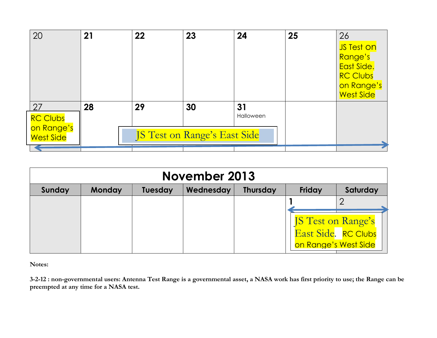| 20               | 21 | 22 | 23                           | 24        | 25 | 26              |
|------------------|----|----|------------------------------|-----------|----|-----------------|
|                  |    |    |                              |           |    | JS Test on      |
|                  |    |    |                              |           |    | Range's         |
|                  |    |    |                              |           |    | East Side.      |
|                  |    |    |                              |           |    | <b>RC Clubs</b> |
|                  |    |    |                              |           |    | on Range's      |
|                  |    |    |                              |           |    | West Side       |
| 27               | 28 | 29 | 30                           | 31        |    |                 |
| <b>RC Clubs</b>  |    |    |                              | Halloween |    |                 |
| on Range's       |    |    |                              |           |    |                 |
| <b>West Side</b> |    |    | JS Test on Range's East Side |           |    |                 |
|                  |    |    |                              |           |    |                 |

| <b>November 2013</b>                                                                            |  |  |  |  |                                                   |                     |
|-------------------------------------------------------------------------------------------------|--|--|--|--|---------------------------------------------------|---------------------|
| Friday<br>Saturday<br><b>Monday</b><br>Wednesday<br>Sunday<br><b>Thursday</b><br><b>Tuesday</b> |  |  |  |  |                                                   |                     |
|                                                                                                 |  |  |  |  |                                                   |                     |
|                                                                                                 |  |  |  |  | <b>JS Test on Range's</b><br>on Range's West Side | East Side. RC Clubs |

**Notes:** 

**3-2-12 : non-governmental users: Antenna Test Range is a governmental asset, a NASA work has first priority to use; the Range can be preempted at any time for a NASA test.**